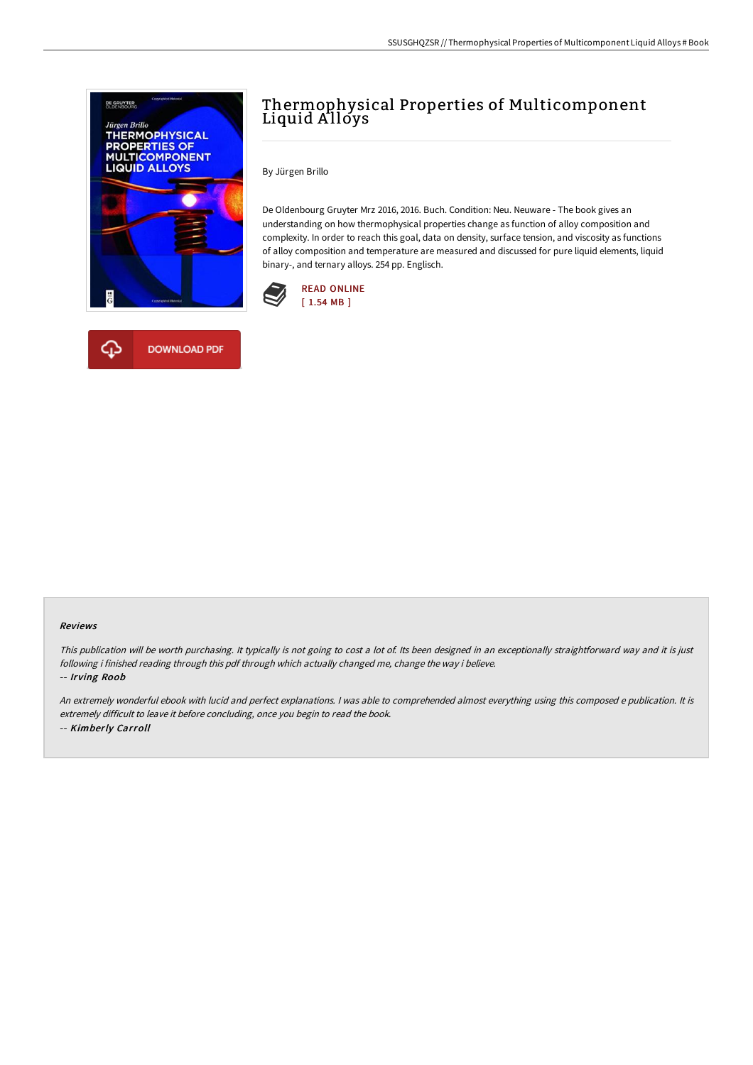

## Thermophysical Properties of Multicomponent Liquid Alloys

By Jürgen Brillo

De Oldenbourg Gruyter Mrz 2016, 2016. Buch. Condition: Neu. Neuware - The book gives an understanding on how thermophysical properties change as function of alloy composition and complexity. In order to reach this goal, data on density, surface tension, and viscosity as functions of alloy composition and temperature are measured and discussed for pure liquid elements, liquid binary-, and ternary alloys. 254 pp. Englisch.





## Reviews

This publication will be worth purchasing. It typically is not going to cost <sup>a</sup> lot of. Its been designed in an exceptionally straightforward way and it is just following i finished reading through this pdf through which actually changed me, change the way i believe. -- Irving Roob

An extremely wonderful ebook with lucid and perfect explanations. <sup>I</sup> was able to comprehended almost everything using this composed <sup>e</sup> publication. It is extremely difficult to leave it before concluding, once you begin to read the book. -- Kimberly Carroll